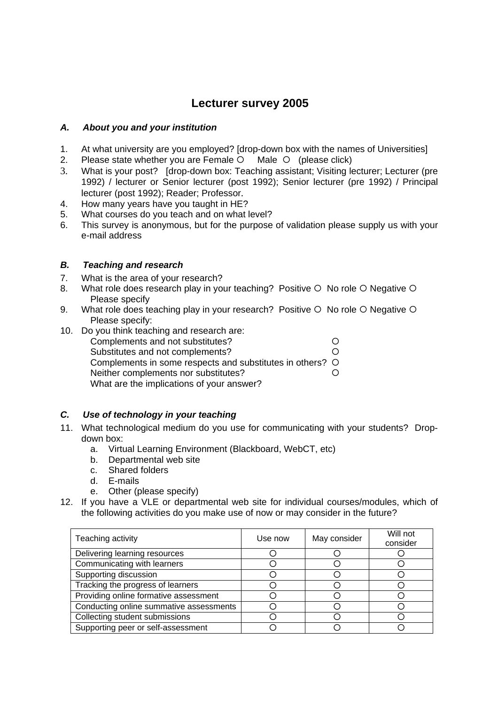# **Lecturer survey 2005**

## *A. About you and your institution*

- 1. At what university are you employed? [drop-down box with the names of Universities]
- 2. Please state whether you are Female  $\circ$  Male  $\circ$  (please click)
- 3. What is your post? [drop-down box: Teaching assistant; Visiting lecturer; Lecturer (pre 1992) / lecturer or Senior lecturer (post 1992); Senior lecturer (pre 1992) / Principal lecturer (post 1992); Reader; Professor.
- 4. How many years have you taught in HE?
- 5. What courses do you teach and on what level?
- 6. This survey is anonymous, but for the purpose of validation please supply us with your e-mail address

## *B. Teaching and research*

- 7. What is the area of your research?
- 8. What role does research play in your teaching? Positive  $\circ$  No role  $\circ$  Negative  $\circ$ Please specify
- 9. What role does teaching play in your research? Positive  $\circ$  No role  $\circ$  Negative  $\circ$ Please specify:
- 10. Do you think teaching and research are: Complements and not substitutes? <br>
O Substitutes and not complements?  $\bigcirc$ Complements in some respects and substitutes in others? O Neither complements nor substitutes? <br>
O What are the implications of your answer?

# *C. Use of technology in your teaching*

- 11. What technological medium do you use for communicating with your students? Dropdown box:
	- a. Virtual Learning Environment (Blackboard, WebCT, etc)
	- b. Departmental web site
	- c. Shared folders
	- d. E-mails
	- e. Other (please specify)
- 12. If you have a VLE or departmental web site for individual courses/modules, which of the following activities do you make use of now or may consider in the future?

| Teaching activity                       | Use now | May consider | Will not<br>consider |
|-----------------------------------------|---------|--------------|----------------------|
| Delivering learning resources           |         |              |                      |
| Communicating with learners             |         |              |                      |
| Supporting discussion                   |         |              |                      |
| Tracking the progress of learners       |         |              |                      |
| Providing online formative assessment   |         |              |                      |
| Conducting online summative assessments |         |              |                      |
| Collecting student submissions          |         |              |                      |
| Supporting peer or self-assessment      |         |              |                      |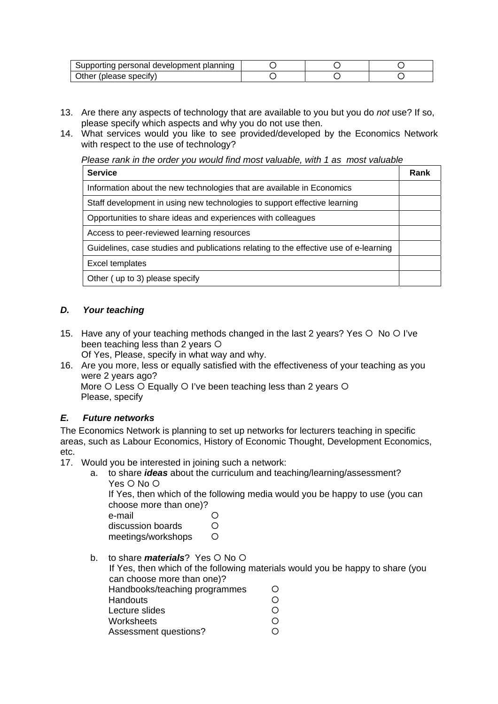| Supporting personal development planning |  |  |
|------------------------------------------|--|--|
| Other (please specify)                   |  |  |

- 13. Are there any aspects of technology that are available to you but you do *not* use? If so, please specify which aspects and why you do not use then.
- 14. What services would you like to see provided/developed by the Economics Network with respect to the use of technology?

*Please rank in the order you would find most valuable, with 1 as most valuable* 

| <b>Service</b>                                                                        | Rank |
|---------------------------------------------------------------------------------------|------|
| Information about the new technologies that are available in Economics                |      |
| Staff development in using new technologies to support effective learning             |      |
| Opportunities to share ideas and experiences with colleagues                          |      |
| Access to peer-reviewed learning resources                                            |      |
| Guidelines, case studies and publications relating to the effective use of e-learning |      |
| Excel templates                                                                       |      |
| Other (up to 3) please specify                                                        |      |

### *D. Your teaching*

15. Have any of your teaching methods changed in the last 2 years? Yes  $\circ$  No  $\circ$  I've been teaching less than  $2$  years  $\circ$ 

Of Yes, Please, specify in what way and why.

16. Are you more, less or equally satisfied with the effectiveness of your teaching as you were 2 years ago?

More  $O$  Less  $O$  Equally  $O$  I've been teaching less than 2 years  $O$ Please, specify

### *E. Future networks*

The Economics Network is planning to set up networks for lecturers teaching in specific areas, such as Labour Economics, History of Economic Thought, Development Economics, etc.

- 17. Would you be interested in joining such a network:
	- a. to share *ideas* about the curriculum and teaching/learning/assessment? Yes  $\circ$  No  $\circ$

If Yes, then which of the following media would you be happy to use (you can choose more than one)?

| e-mail             | ∩ |
|--------------------|---|
| discussion boards  | O |
| meetings/workshops | O |

b. to share *materials*? Yes O No O

If Yes, then which of the following materials would you be happy to share (you can choose more than one)?

- Handbooks/teaching programmes 
<br>
Handouts

O Handouts { Lecture slides Worksheets **blue** O
- Assessment questions? <br>
O